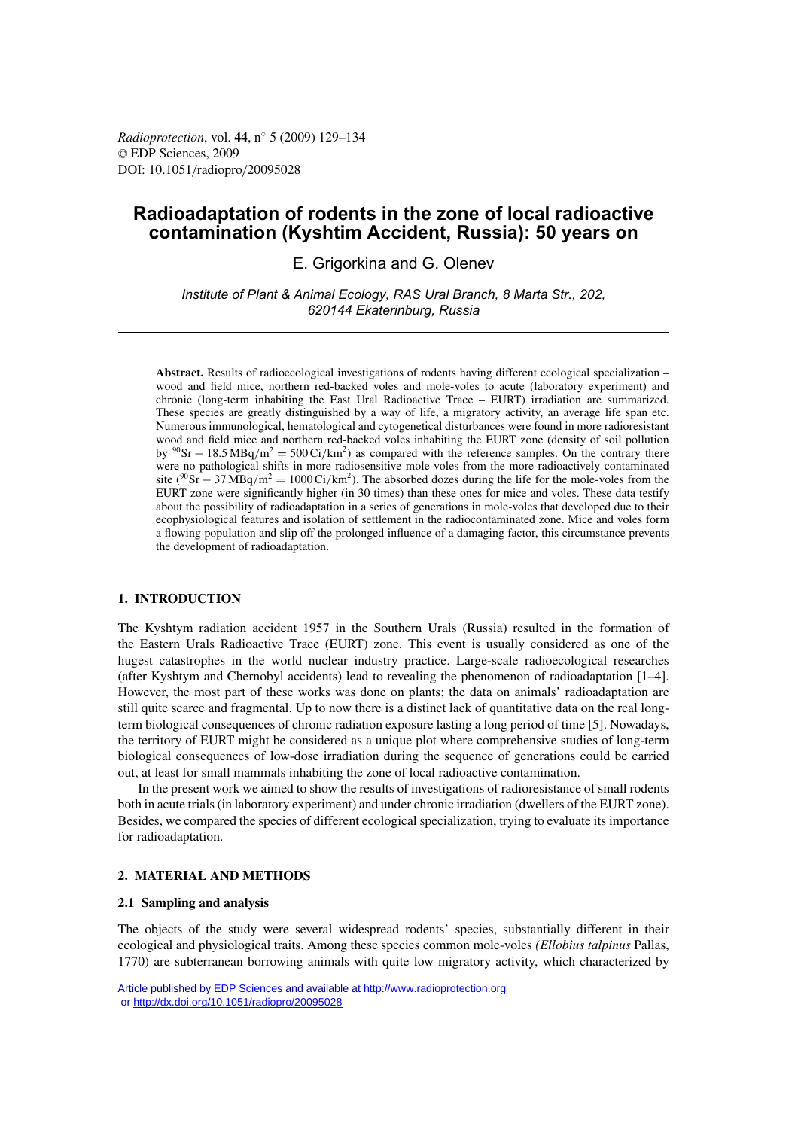# **Radioadaptation of rodents in the zone of local radioactive contamination (Kyshtim Accident, Russia): 50 years on**

E. Grigorkina and G. Olenev

*Institute of Plant & Animal Ecology, RAS Ural Branch, 8 Marta Str., 202, 620144 Ekaterinburg, Russia*

**Abstract.** Results of radioecological investigations of rodents having different ecological specialization – wood and field mice, northern red-backed voles and mole-voles to acute (laboratory experiment) and chronic (long-term inhabiting the East Ural Radioactive Trace – EURT) irradiation are summarized. These species are greatly distinguished by a way of life, a migratory activity, an average life span etc. Numerous immunological, hematological and cytogenetical disturbances were found in more radioresistant wood and field mice and northern red-backed voles inhabiting the EURT zone (density of soil pollution by <sup>90</sup>Sr − 18.5 MBq/m<sup>2</sup> = 500 Ci/km<sup>2</sup>) as compared with the reference samples. On the contrary there were no pathological shifts in more radiosensitive mole-voles from the more radioactively contaminated site ( $\frac{90}{5}$ F – 37 MBq/m<sup>2</sup> = 1000 Ci/km<sup>2</sup>). The absorbed dozes during the life for the mole-voles from the EURT zone were significantly higher (in 30 times) than these ones for mice and voles. These data testify about the possibility of radioadaptation in a series of generations in mole-voles that developed due to their ecophysiological features and isolation of settlement in the radiocontaminated zone. Mice and voles form a flowing population and slip off the prolonged influence of a damaging factor, this circumstance prevents the development of radioadaptation.

## **1. INTRODUCTION**

The Kyshtym radiation accident 1957 in the Southern Urals (Russia) resulted in the formation of the Eastern Urals Radioactive Trace (EURT) zone. This event is usually considered as one of the hugest catastrophes in the world nuclear industry practice. Large-scale radioecological researches (after Kyshtym and Chernobyl accidents) lead to revealing the phenomenon of radioadaptation [1–4]. However, the most part of these works was done on plants; the data on animals' radioadaptation are still quite scarce and fragmental. Up to now there is a distinct lack of quantitative data on the real longterm biological consequences of chronic radiation exposure lasting a long period of time [5]. Nowadays, the territory of EURT might be considered as a unique plot where comprehensive studies of long-term biological consequences of low-dose irradiation during the sequence of generations could be carried out, at least for small mammals inhabiting the zone of local radioactive contamination.

In the present work we aimed to show the results of investigations of radioresistance of small rodents both in acute trials (in laboratory experiment) and under chronic irradiation (dwellers of the EURT zone). Besides, we compared the species of different ecological specialization, trying to evaluate its importance for radioadaptation.

## **2. MATERIAL AND METHODS**

#### **2.1 Sampling and analysis**

The objects of the study were several widespread rodents' species, substantially different in their ecological and physiological traits. Among these species common mole-voles *(Ellobius talpinus* Pallas, 1770) are subterranean borrowing animals with quite low migratory activity, which characterized by

Article published by [EDP Sciences](http://www.edpsciences.org) and available at<http://www.radioprotection.org> or <http://dx.doi.org/10.1051/radiopro/20095028>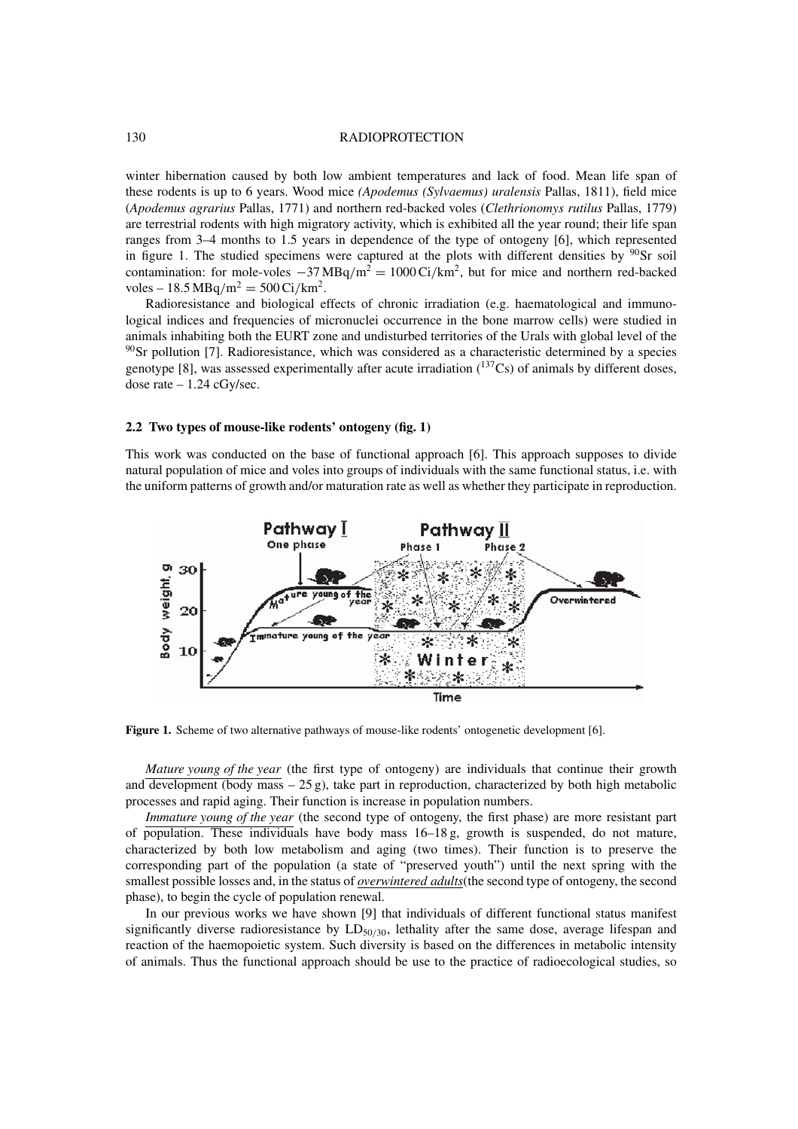#### 130 RADIOPROTECTION

winter hibernation caused by both low ambient temperatures and lack of food. Mean life span of these rodents is up to 6 years. Wood mice *(Apodemus (Sylvaemus) uralensis* Pallas, 1811), field mice (*Apodemus agrarius* Pallas, 1771) and northern red-backed voles (*Clethrionomys rutilus* Pallas, 1779) are terrestrial rodents with high migratory activity, which is exhibited all the year round; their life span ranges from 3–4 months to 1.5 years in dependence of the type of ontogeny [6], which represented in figure 1. The studied specimens were captured at the plots with different densities by  $90$ Sr soil contamination: for mole-voles  $-37 \text{MBq/m}^2 = 1000 \text{ Ci/km}^2$ , but for mice and northern red-backed voles – 18.5 MBq/m<sup>2</sup> = 500 Ci/km<sup>2</sup>.

Radioresistance and biological effects of chronic irradiation (e.g. haematological and immunological indices and frequencies of micronuclei occurrence in the bone marrow cells) were studied in animals inhabiting both the EURT zone and undisturbed territories of the Urals with global level of the  $90$ Sr pollution [7]. Radioresistance, which was considered as a characteristic determined by a species genotype [8], was assessed experimentally after acute irradiation  $(^{137}Cs)$  of animals by different doses, dose rate  $-1.24$  cGy/sec.

#### **2.2 Two types of mouse-like rodents' ontogeny (fig. 1)**

This work was conducted on the base of functional approach [6]. This approach supposes to divide natural population of mice and voles into groups of individuals with the same functional status, i.e. with the uniform patterns of growth and/or maturation rate as well as whether they participate in reproduction.



**Figure 1.** Scheme of two alternative pathways of mouse-like rodents' ontogenetic development [6].

*Mature young of the year* (the first type of ontogeny) are individuals that continue their growth and development (body mass  $-25$  g), take part in reproduction, characterized by both high metabolic processes and rapid aging. Their function is increase in population numbers.

*Immature young of the year* (the second type of ontogeny, the first phase) are more resistant part of population. These individuals have body mass  $16-18$  g, growth is suspended, do not mature, characterized by both low metabolism and aging (two times). Their function is to preserve the corresponding part of the population (a state of "preserved youth") until the next spring with the smallest possible losses and, in the status of *overwintered adults*(the second type of ontogeny, the second phase), to begin the cycle of population renewal.

In our previous works we have shown [9] that individuals of different functional status manifest significantly diverse radioresistance by  $LD_{50/30}$ , lethality after the same dose, average lifespan and reaction of the haemopoietic system. Such diversity is based on the differences in metabolic intensity of animals. Thus the functional approach should be use to the practice of radioecological studies, so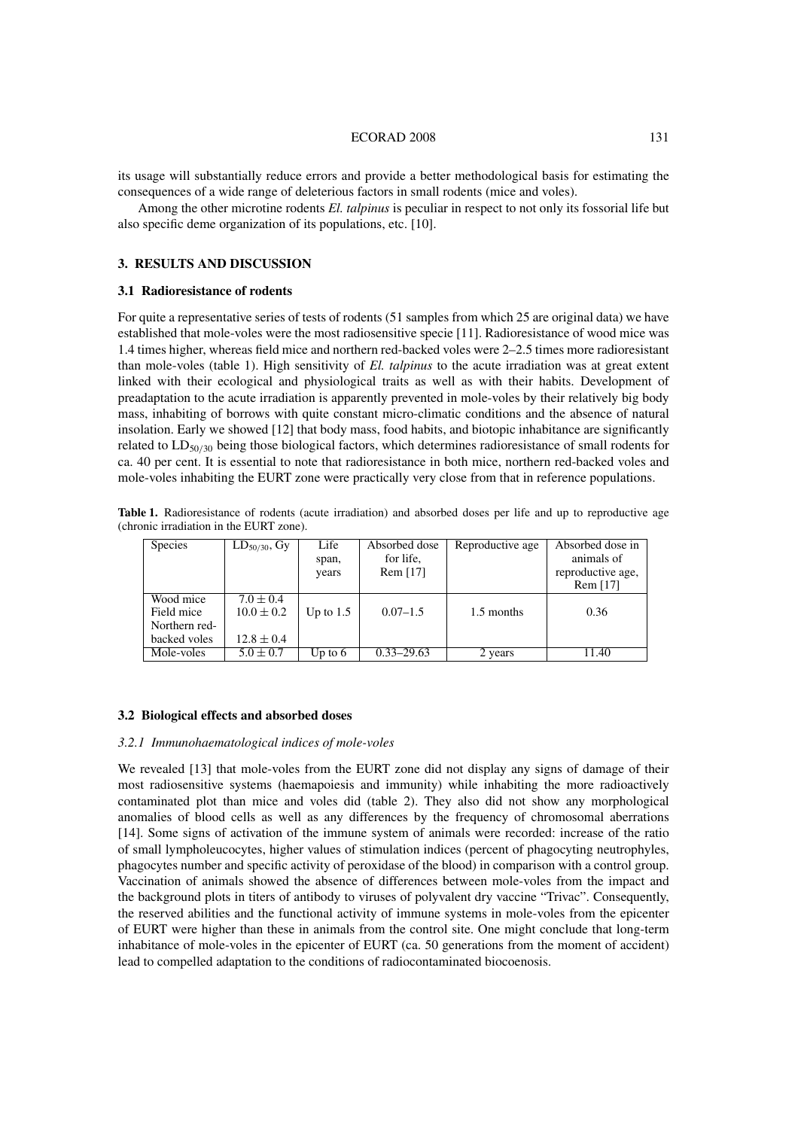#### ECORAD 2008 131

its usage will substantially reduce errors and provide a better methodological basis for estimating the consequences of a wide range of deleterious factors in small rodents (mice and voles).

Among the other microtine rodents *El. talpinus* is peculiar in respect to not only its fossorial life but also specific deme organization of its populations, etc. [10].

### **3. RESULTS AND DISCUSSION**

## **3.1 Radioresistance of rodents**

For quite a representative series of tests of rodents (51 samples from which 25 are original data) we have established that mole-voles were the most radiosensitive specie [11]. Radioresistance of wood mice was 1.4 times higher, whereas field mice and northern red-backed voles were 2–2.5 times more radioresistant than mole-voles (table 1). High sensitivity of *El. talpinus* to the acute irradiation was at great extent linked with their ecological and physiological traits as well as with their habits. Development of preadaptation to the acute irradiation is apparently prevented in mole-voles by their relatively big body mass, inhabiting of borrows with quite constant micro-climatic conditions and the absence of natural insolation. Early we showed [12] that body mass, food habits, and biotopic inhabitance are significantly related to LD50/<sup>30</sup> being those biological factors, which determines radioresistance of small rodents for ca. 40 per cent. It is essential to note that radioresistance in both mice, northern red-backed voles and mole-voles inhabiting the EURT zone were practically very close from that in reference populations.

**Table 1.** Radioresistance of rodents (acute irradiation) and absorbed doses per life and up to reproductive age (chronic irradiation in the EURT zone).

| <b>Species</b> | $LD_{50/30}$ , Gy | Life        | Absorbed dose  | Reproductive age | Absorbed dose in  |
|----------------|-------------------|-------------|----------------|------------------|-------------------|
|                |                   | span,       | for life.      |                  | animals of        |
|                |                   | years       | Rem $[17]$     |                  | reproductive age, |
|                |                   |             |                |                  | Rem [17]          |
| Wood mice      | $7.0 \pm 0.4$     |             |                |                  |                   |
| Field mice     | $10.0 \pm 0.2$    | Up to $1.5$ | $0.07 - 1.5$   | 1.5 months       | 0.36              |
| Northern red-  |                   |             |                |                  |                   |
| backed voles   | $12.8 \pm 0.4$    |             |                |                  |                   |
| Mole-voles     | $5.0 \pm 0.7$     | Up to $6$   | $0.33 - 29.63$ | 2 years          | 11.40             |

#### **3.2 Biological effects and absorbed doses**

#### *3.2.1 Immunohaematological indices of mole-voles*

We revealed [13] that mole-voles from the EURT zone did not display any signs of damage of their most radiosensitive systems (haemapoiesis and immunity) while inhabiting the more radioactively contaminated plot than mice and voles did (table 2). They also did not show any morphological anomalies of blood cells as well as any differences by the frequency of chromosomal aberrations [14]. Some signs of activation of the immune system of animals were recorded: increase of the ratio of small lympholeucocytes, higher values of stimulation indices (percent of phagocyting neutrophyles, phagocytes number and specific activity of peroxidase of the blood) in comparison with a control group. Vaccination of animals showed the absence of differences between mole-voles from the impact and the background plots in titers of antibody to viruses of polyvalent dry vaccine "Trivac". Consequently, the reserved abilities and the functional activity of immune systems in mole-voles from the epicenter of EURT were higher than these in animals from the control site. One might conclude that long-term inhabitance of mole-voles in the epicenter of EURT (ca. 50 generations from the moment of accident) lead to compelled adaptation to the conditions of radiocontaminated biocoenosis.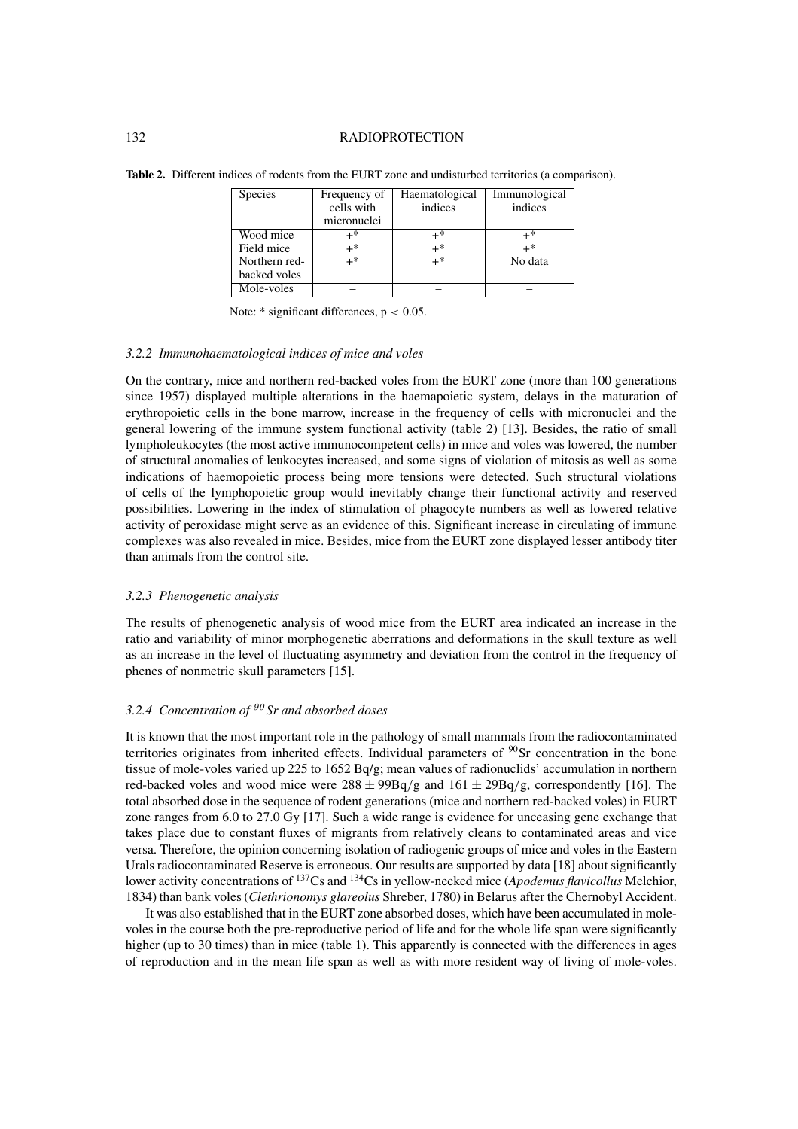#### 132 RADIOPROTECTION

**Table 2.** Different indices of rodents from the EURT zone and undisturbed territories (a comparison).

| <b>Species</b> | Frequency of | Haematological | Immunological |
|----------------|--------------|----------------|---------------|
|                | cells with   | indices        | indices       |
|                | micronuclei  |                |               |
| Wood mice      | $+^*$        | $+^*$          | $+^*$         |
| Field mice     | $+$ *        | $+$ *          | $+$ *         |
| Northern red-  | $+$ *        | $+^*$          | No data       |
| backed voles   |              |                |               |
| Mole-voles     |              |                |               |

Note:  $*$  significant differences,  $p < 0.05$ .

#### *3.2.2 Immunohaematological indices of mice and voles*

On the contrary, mice and northern red-backed voles from the EURT zone (more than 100 generations since 1957) displayed multiple alterations in the haemapoietic system, delays in the maturation of erythropoietic cells in the bone marrow, increase in the frequency of cells with micronuclei and the general lowering of the immune system functional activity (table 2) [13]. Besides, the ratio of small lympholeukocytes (the most active immunocompetent cells) in mice and voles was lowered, the number of structural anomalies of leukocytes increased, and some signs of violation of mitosis as well as some indications of haemopoietic process being more tensions were detected. Such structural violations of cells of the lymphopoietic group would inevitably change their functional activity and reserved possibilities. Lowering in the index of stimulation of phagocyte numbers as well as lowered relative activity of peroxidase might serve as an evidence of this. Significant increase in circulating of immune complexes was also revealed in mice. Besides, mice from the EURT zone displayed lesser antibody titer than animals from the control site.

## *3.2.3 Phenogenetic analysis*

The results of phenogenetic analysis of wood mice from the EURT area indicated an increase in the ratio and variability of minor morphogenetic aberrations and deformations in the skull texture as well as an increase in the level of fluctuating asymmetry and deviation from the control in the frequency of phenes of nonmetric skull parameters [15].

# *3.2.4 Concentration of* <sup>90</sup> *Sr and absorbed doses*

It is known that the most important role in the pathology of small mammals from the radiocontaminated territories originates from inherited effects. Individual parameters of  $\frac{90}{S}$ r concentration in the bone tissue of mole-voles varied up 225 to 1652 Bq/g; mean values of radionuclids' accumulation in northern red-backed voles and wood mice were  $288 \pm 99Bq/g$  and  $161 \pm 29Bq/g$ , correspondently [16]. The total absorbed dose in the sequence of rodent generations (mice and northern red-backed voles) in EURT zone ranges from 6.0 to 27.0 Gy [17]. Such a wide range is evidence for unceasing gene exchange that takes place due to constant fluxes of migrants from relatively cleans to contaminated areas and vice versa. Therefore, the opinion concerning isolation of radiogenic groups of mice and voles in the Eastern Urals radiocontaminated Reserve is erroneous. Our results are supported by data [18] about significantly lower activity concentrations of 137Cs and 134Cs in yellow-necked mice (*Apodemus flavicollus* Melchior, 1834) than bank voles (*Clethrionomys glareolus* Shreber, 1780) in Belarus after the Chernobyl Accident.

It was also established that in the EURT zone absorbed doses, which have been accumulated in molevoles in the course both the pre-reproductive period of life and for the whole life span were significantly higher (up to 30 times) than in mice (table 1). This apparently is connected with the differences in ages of reproduction and in the mean life span as well as with more resident way of living of mole-voles.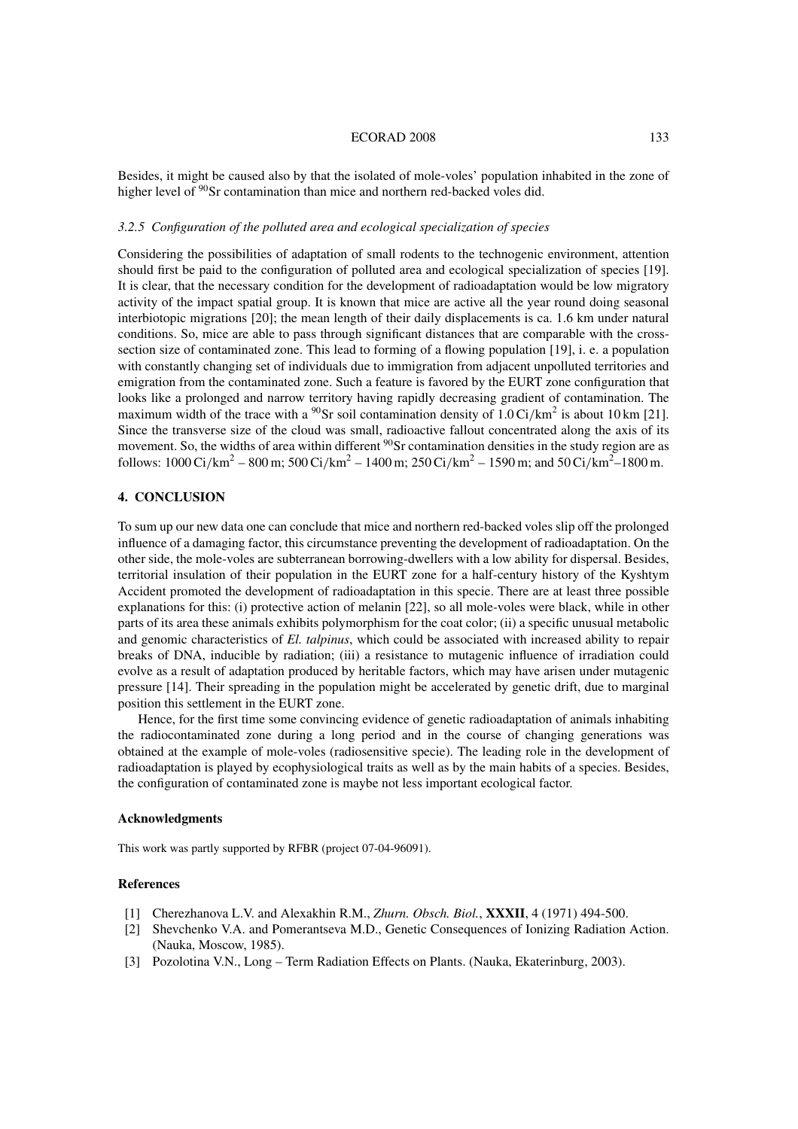#### ECORAD 2008 133

Besides, it might be caused also by that the isolated of mole-voles' population inhabited in the zone of higher level of <sup>90</sup>Sr contamination than mice and northern red-backed voles did.

#### *3.2.5 Configuration of the polluted area and ecological specialization of species*

Considering the possibilities of adaptation of small rodents to the technogenic environment, attention should first be paid to the configuration of polluted area and ecological specialization of species [19]. It is clear, that the necessary condition for the development of radioadaptation would be low migratory activity of the impact spatial group. It is known that mice are active all the year round doing seasonal interbiotopic migrations [20]; the mean length of their daily displacements is ca. 1.6 km under natural conditions. So, mice are able to pass through significant distances that are comparable with the crosssection size of contaminated zone. This lead to forming of a flowing population [19], i. e. a population with constantly changing set of individuals due to immigration from adjacent unpolluted territories and emigration from the contaminated zone. Such a feature is favored by the EURT zone configuration that looks like a prolonged and narrow territory having rapidly decreasing gradient of contamination. The maximum width of the trace with a <sup>90</sup>Sr soil contamination density of 1.0 Ci/km<sup>2</sup> is about 10 km [21]. Since the transverse size of the cloud was small, radioactive fallout concentrated along the axis of its movement. So, the widths of area within different <sup>90</sup>Sr contamination densities in the study region are as follows: 1000 Ci/km<sup>2</sup> – 800 m; 500 Ci/km<sup>2</sup> – 1400 m; 250 Ci/km<sup>2</sup> – 1590 m; and 50 Ci/km<sup>2</sup>–1800 m.

## **4. CONCLUSION**

To sum up our new data one can conclude that mice and northern red-backed voles slip off the prolonged influence of a damaging factor, this circumstance preventing the development of radioadaptation. On the other side, the mole-voles are subterranean borrowing-dwellers with a low ability for dispersal. Besides, territorial insulation of their population in the EURT zone for a half-century history of the Kyshtym Accident promoted the development of radioadaptation in this specie. There are at least three possible explanations for this: (i) protective action of melanin [22], so all mole-voles were black, while in other parts of its area these animals exhibits polymorphism for the coat color; (ii) a specific unusual metabolic and genomic characteristics of *El. talpinus*, which could be associated with increased ability to repair breaks of DNA, inducible by radiation; (iii) a resistance to mutagenic influence of irradiation could evolve as a result of adaptation produced by heritable factors, which may have arisen under mutagenic pressure [14]. Their spreading in the population might be accelerated by genetic drift, due to marginal position this settlement in the EURT zone.

Hence, for the first time some convincing evidence of genetic radioadaptation of animals inhabiting the radiocontaminated zone during a long period and in the course of changing generations was obtained at the example of mole-voles (radiosensitive specie). The leading role in the development of radioadaptation is played by ecophysiological traits as well as by the main habits of a species. Besides, the configuration of contaminated zone is maybe not less important ecological factor.

#### **Acknowledgments**

This work was partly supported by RFBR (project 07-04-96091).

## **References**

- [1] Cherezhanova L.V. and Alexakhin R.M., *Zhurn. Obsch. Biol.*, **XXXII**, 4 (1971) 494-500.
- [2] Shevchenko V.A. and Pomerantseva M.D., Genetic Consequences of Ionizing Radiation Action. (Nauka, Moscow, 1985).
- [3] Pozolotina V.N., Long Term Radiation Effects on Plants. (Nauka, Ekaterinburg, 2003).